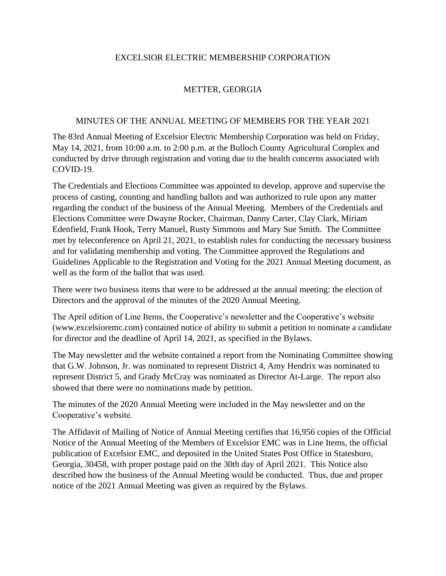## EXCELSIOR ELECTRIC MEMBERSHIP CORPORATION

## METTER, GEORGIA

## MINUTES OF THE ANNUAL MEETING OF MEMBERS FOR THE YEAR 2021

The 83rd Annual Meeting of Excelsior Electric Membership Corporation was held on Friday, May 14, 2021, from 10:00 a.m. to 2:00 p.m. at the Bulloch County Agricultural Complex and conducted by drive through registration and voting due to the health concerns associated with COVID-19.

The Credentials and Elections Committee was appointed to develop, approve and supervise the process of casting, counting and handling ballots and was authorized to rule upon any matter regarding the conduct of the business of the Annual Meeting. Members of the Credentials and Elections Committee were Dwayne Rocker, Chairman, Danny Carter, Clay Clark, Miriam Edenfield, Frank Hook, Terry Manuel, Rusty Simmons and Mary Sue Smith. The Committee met by teleconference on April 21, 2021, to establish rules for conducting the necessary business and for validating membership and voting. The Committee approved the Regulations and Guidelines Applicable to the Registration and Voting for the 2021 Annual Meeting document, as well as the form of the ballot that was used.

There were two business items that were to be addressed at the annual meeting: the election of Directors and the approval of the minutes of the 2020 Annual Meeting.

The April edition of Line Items, the Cooperative's newsletter and the Cooperative's website (www.excelsioremc.com) contained notice of ability to submit a petition to nominate a candidate for director and the deadline of April 14, 2021, as specified in the Bylaws.

The May newsletter and the website contained a report from the Nominating Committee showing that G.W. Johnson, Jr. was nominated to represent District 4, Amy Hendrix was nominated to represent District 5, and Grady McCray was nominated as Director At-Large. The report also showed that there were no nominations made by petition.

The minutes of the 2020 Annual Meeting were included in the May newsletter and on the Cooperative's website.

The Affidavit of Mailing of Notice of Annual Meeting certifies that 16,956 copies of the Official Notice of the Annual Meeting of the Members of Excelsior EMC was in Line Items, the official publication of Excelsior EMC, and deposited in the United States Post Office in Statesboro, Georgia, 30458, with proper postage paid on the 30th day of April 2021. This Notice also described how the business of the Annual Meeting would be conducted. Thus, due and proper notice of the 2021 Annual Meeting was given as required by the Bylaws.